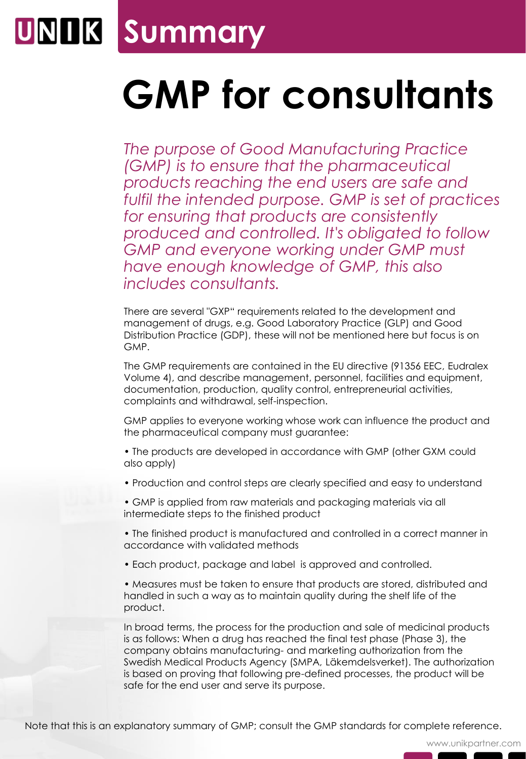

## **GMP for consultants**

*The purpose of Good Manufacturing Practice (GMP) is to ensure that the pharmaceutical products reaching the end users are safe and fulfil the intended purpose. GMP is set of practices for ensuring that products are consistently produced and controlled. It's obligated to follow GMP and everyone working under GMP must have enough knowledge of GMP, this also includes consultants.*

There are several "GXP" requirements related to the development and management of drugs, e.g. Good Laboratory Practice (GLP) and Good Distribution Practice (GDP), these will not be mentioned here but focus is on GMP.

The GMP requirements are contained in the EU directive (91356 EEC, Eudralex Volume 4), and describe management, personnel, facilities and equipment, documentation, production, quality control, entrepreneurial activities, complaints and withdrawal, self-inspection.

GMP applies to everyone working whose work can influence the product and the pharmaceutical company must guarantee:

• The products are developed in accordance with GMP (other GXM could also apply)

- Production and control steps are clearly specified and easy to understand
- GMP is applied from raw materials and packaging materials via all intermediate steps to the finished product
- The finished product is manufactured and controlled in a correct manner in accordance with validated methods
- Each product, package and label is approved and controlled.

• Measures must be taken to ensure that products are stored, distributed and handled in such a way as to maintain quality during the shelf life of the product.

In broad terms, the process for the production and sale of medicinal products is as follows: When a drug has reached the final test phase (Phase 3), the company obtains manufacturing- and marketing authorization from the Swedish Medical Products Agency (SMPA, Läkemdelsverket). The authorization is based on proving that following pre-defined processes, the product will be safe for the end user and serve its purpose.

Note that this is an explanatory summary of GMP; consult the GMP standards for complete reference.

www.unikpartner.com